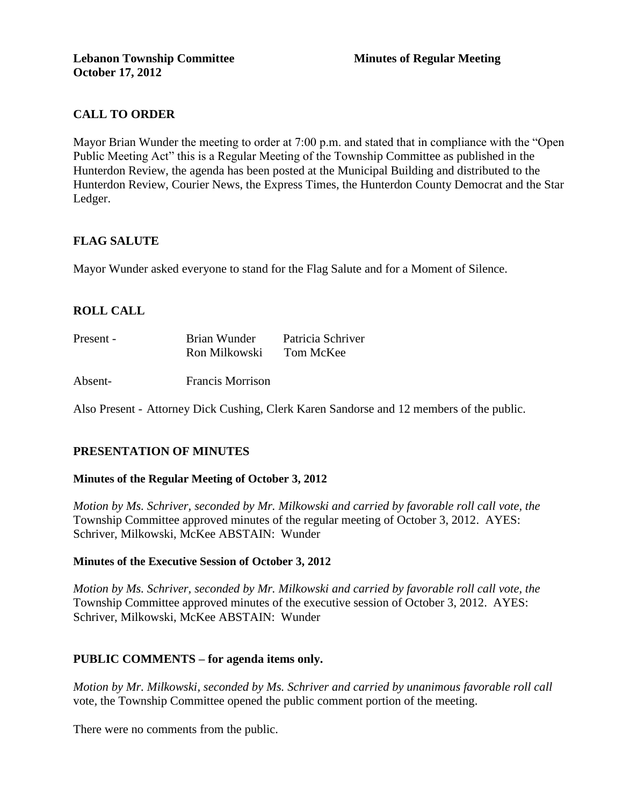# **CALL TO ORDER**

Mayor Brian Wunder the meeting to order at 7:00 p.m. and stated that in compliance with the "Open Public Meeting Act" this is a Regular Meeting of the Township Committee as published in the Hunterdon Review, the agenda has been posted at the Municipal Building and distributed to the Hunterdon Review, Courier News, the Express Times, the Hunterdon County Democrat and the Star Ledger.

## **FLAG SALUTE**

Mayor Wunder asked everyone to stand for the Flag Salute and for a Moment of Silence.

## **ROLL CALL**

| Present - | Brian Wunder  | Patricia Schriver |
|-----------|---------------|-------------------|
|           | Ron Milkowski | Tom McKee         |

Absent- Francis Morrison

Also Present - Attorney Dick Cushing, Clerk Karen Sandorse and 12 members of the public.

## **PRESENTATION OF MINUTES**

### **Minutes of the Regular Meeting of October 3, 2012**

*Motion by Ms. Schriver, seconded by Mr. Milkowski and carried by favorable roll call vote, the* Township Committee approved minutes of the regular meeting of October 3, 2012. AYES: Schriver, Milkowski, McKee ABSTAIN: Wunder

### **Minutes of the Executive Session of October 3, 2012**

*Motion by Ms. Schriver, seconded by Mr. Milkowski and carried by favorable roll call vote, the* Township Committee approved minutes of the executive session of October 3, 2012. AYES: Schriver, Milkowski, McKee ABSTAIN: Wunder

### **PUBLIC COMMENTS – for agenda items only.**

*Motion by Mr. Milkowski, seconded by Ms. Schriver and carried by unanimous favorable roll call*  vote*,* the Township Committee opened the public comment portion of the meeting.

There were no comments from the public.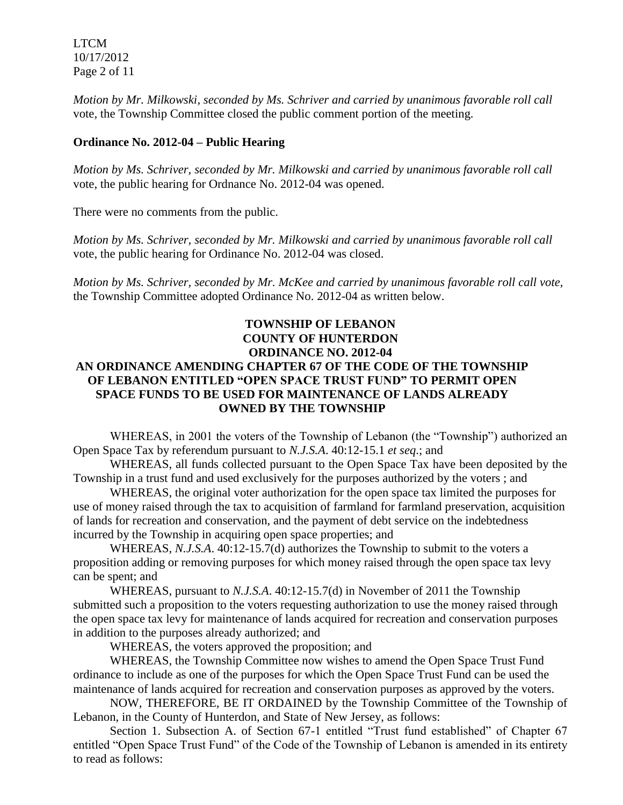LTCM 10/17/2012 Page 2 of 11

*Motion by Mr. Milkowski, seconded by Ms. Schriver and carried by unanimous favorable roll call*  vote*,* the Township Committee closed the public comment portion of the meeting.

### **Ordinance No. 2012-04 – Public Hearing**

*Motion by Ms. Schriver, seconded by Mr. Milkowski and carried by unanimous favorable roll call*  vote, the public hearing for Ordnance No. 2012-04 was opened.

There were no comments from the public.

*Motion by Ms. Schriver, seconded by Mr. Milkowski and carried by unanimous favorable roll call*  vote, the public hearing for Ordinance No. 2012-04 was closed.

*Motion by Ms. Schriver, seconded by Mr. McKee and carried by unanimous favorable roll call vote,* the Township Committee adopted Ordinance No. 2012-04 as written below.

## **TOWNSHIP OF LEBANON COUNTY OF HUNTERDON ORDINANCE NO. 2012-04 AN ORDINANCE AMENDING CHAPTER 67 OF THE CODE OF THE TOWNSHIP OF LEBANON ENTITLED "OPEN SPACE TRUST FUND" TO PERMIT OPEN SPACE FUNDS TO BE USED FOR MAINTENANCE OF LANDS ALREADY OWNED BY THE TOWNSHIP**

WHEREAS, in 2001 the voters of the Township of Lebanon (the "Township") authorized an Open Space Tax by referendum pursuant to *N.J.S.A*. 40:12-15.1 *et seq*.; and

WHEREAS, all funds collected pursuant to the Open Space Tax have been deposited by the Township in a trust fund and used exclusively for the purposes authorized by the voters ; and

WHEREAS, the original voter authorization for the open space tax limited the purposes for use of money raised through the tax to acquisition of farmland for farmland preservation, acquisition of lands for recreation and conservation, and the payment of debt service on the indebtedness incurred by the Township in acquiring open space properties; and

WHEREAS, *N.J.S.A*. 40:12-15.7(d) authorizes the Township to submit to the voters a proposition adding or removing purposes for which money raised through the open space tax levy can be spent; and

WHEREAS, pursuant to *N.J.S.A*. 40:12-15.7(d) in November of 2011 the Township submitted such a proposition to the voters requesting authorization to use the money raised through the open space tax levy for maintenance of lands acquired for recreation and conservation purposes in addition to the purposes already authorized; and

WHEREAS, the voters approved the proposition; and

WHEREAS, the Township Committee now wishes to amend the Open Space Trust Fund ordinance to include as one of the purposes for which the Open Space Trust Fund can be used the maintenance of lands acquired for recreation and conservation purposes as approved by the voters.

NOW, THEREFORE, BE IT ORDAINED by the Township Committee of the Township of Lebanon, in the County of Hunterdon, and State of New Jersey, as follows:

Section 1. Subsection A. of Section 67-1 entitled "Trust fund established" of Chapter 67 entitled "Open Space Trust Fund" of the Code of the Township of Lebanon is amended in its entirety to read as follows: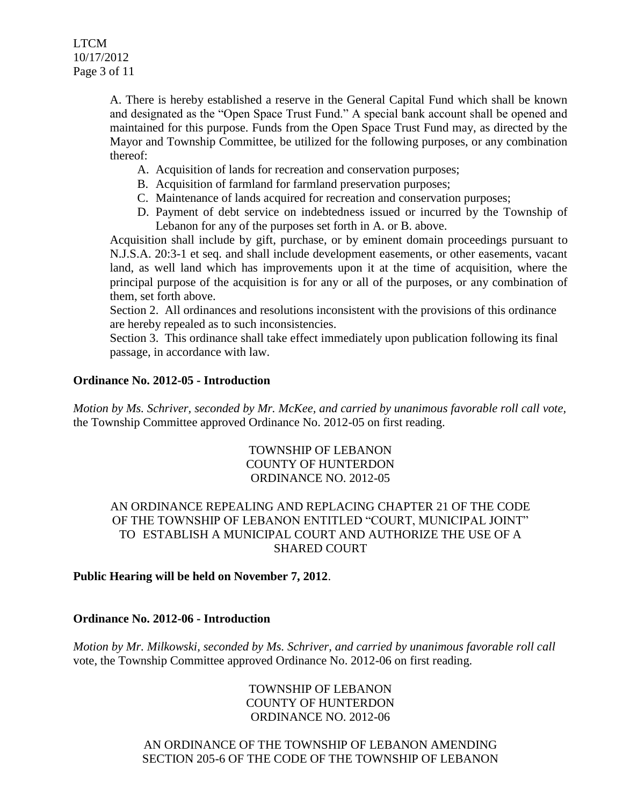A. There is hereby established a reserve in the General Capital Fund which shall be known and designated as the "Open Space Trust Fund." A special bank account shall be opened and maintained for this purpose. Funds from the Open Space Trust Fund may, as directed by the Mayor and Township Committee, be utilized for the following purposes, or any combination thereof:

- A. Acquisition of lands for recreation and conservation purposes;
- B. Acquisition of farmland for farmland preservation purposes;
- C. Maintenance of lands acquired for recreation and conservation purposes;
- D. Payment of debt service on indebtedness issued or incurred by the Township of Lebanon for any of the purposes set forth in A. or B. above.

Acquisition shall include by gift, purchase, or by eminent domain proceedings pursuant to N.J.S.A. 20:3-1 et seq. and shall include development easements, or other easements, vacant land, as well land which has improvements upon it at the time of acquisition, where the principal purpose of the acquisition is for any or all of the purposes, or any combination of them, set forth above.

Section 2. All ordinances and resolutions inconsistent with the provisions of this ordinance are hereby repealed as to such inconsistencies.

Section 3. This ordinance shall take effect immediately upon publication following its final passage, in accordance with law.

## **Ordinance No. 2012-05 - Introduction**

*Motion by Ms. Schriver, seconded by Mr. McKee, and carried by unanimous favorable roll call vote,*  the Township Committee approved Ordinance No. 2012-05 on first reading.

## TOWNSHIP OF LEBANON COUNTY OF HUNTERDON ORDINANCE NO. 2012-05

## AN ORDINANCE REPEALING AND REPLACING CHAPTER 21 OF THE CODE OF THE TOWNSHIP OF LEBANON ENTITLED "COURT, MUNICIPAL JOINT" TO ESTABLISH A MUNICIPAL COURT AND AUTHORIZE THE USE OF A SHARED COURT

### **Public Hearing will be held on November 7, 2012**.

### **Ordinance No. 2012-06 - Introduction**

*Motion by Mr. Milkowski, seconded by Ms. Schriver, and carried by unanimous favorable roll call*  vote, the Township Committee approved Ordinance No. 2012-06 on first reading.

> TOWNSHIP OF LEBANON COUNTY OF HUNTERDON ORDINANCE NO. 2012-06

AN ORDINANCE OF THE TOWNSHIP OF LEBANON AMENDING SECTION 205-6 OF THE CODE OF THE TOWNSHIP OF LEBANON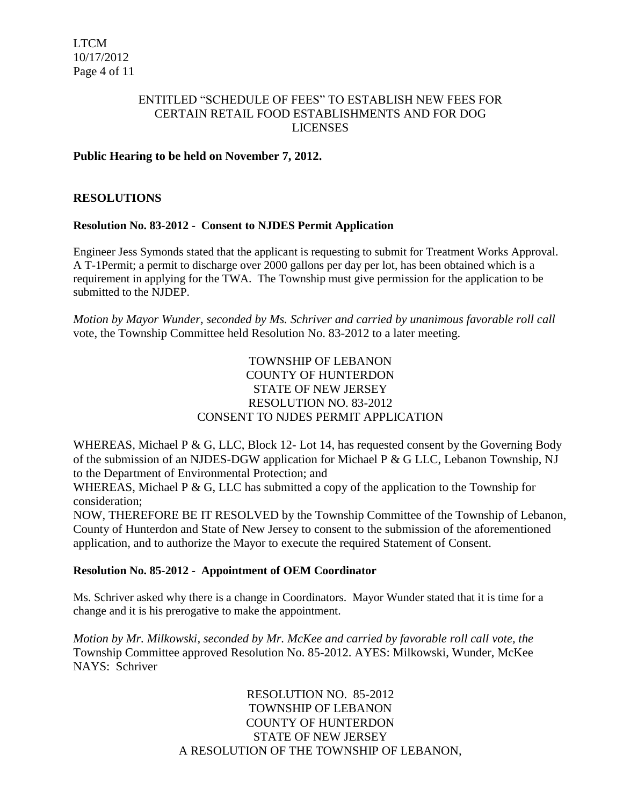## ENTITLED "SCHEDULE OF FEES" TO ESTABLISH NEW FEES FOR CERTAIN RETAIL FOOD ESTABLISHMENTS AND FOR DOG LICENSES

## **Public Hearing to be held on November 7, 2012.**

### **RESOLUTIONS**

### **Resolution No. 83-2012 - Consent to NJDES Permit Application**

Engineer Jess Symonds stated that the applicant is requesting to submit for Treatment Works Approval. A T-1Permit; a permit to discharge over 2000 gallons per day per lot, has been obtained which is a requirement in applying for the TWA. The Township must give permission for the application to be submitted to the NJDEP.

*Motion by Mayor Wunder, seconded by Ms. Schriver and carried by unanimous favorable roll call*  vote, the Township Committee held Resolution No. 83-2012 to a later meeting.

## TOWNSHIP OF LEBANON COUNTY OF HUNTERDON STATE OF NEW JERSEY RESOLUTION NO. 83-2012 CONSENT TO NJDES PERMIT APPLICATION

WHEREAS, Michael P & G, LLC, Block 12- Lot 14, has requested consent by the Governing Body of the submission of an NJDES-DGW application for Michael P & G LLC, Lebanon Township, NJ to the Department of Environmental Protection; and

WHEREAS, Michael P & G, LLC has submitted a copy of the application to the Township for consideration;

NOW, THEREFORE BE IT RESOLVED by the Township Committee of the Township of Lebanon, County of Hunterdon and State of New Jersey to consent to the submission of the aforementioned application, and to authorize the Mayor to execute the required Statement of Consent.

### **Resolution No. 85-2012 - Appointment of OEM Coordinator**

Ms. Schriver asked why there is a change in Coordinators. Mayor Wunder stated that it is time for a change and it is his prerogative to make the appointment.

*Motion by Mr. Milkowski, seconded by Mr. McKee and carried by favorable roll call vote, the* Township Committee approved Resolution No. 85-2012. AYES: Milkowski, Wunder, McKee NAYS: Schriver

> RESOLUTION NO. 85-2012 TOWNSHIP OF LEBANON COUNTY OF HUNTERDON STATE OF NEW JERSEY A RESOLUTION OF THE TOWNSHIP OF LEBANON,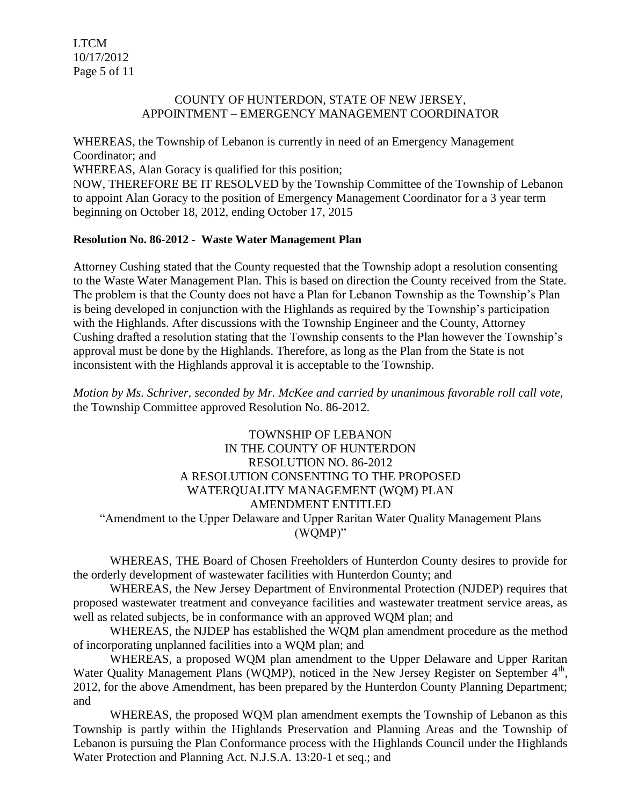LTCM 10/17/2012 Page 5 of 11

#### COUNTY OF HUNTERDON, STATE OF NEW JERSEY, APPOINTMENT – EMERGENCY MANAGEMENT COORDINATOR

WHEREAS, the Township of Lebanon is currently in need of an Emergency Management Coordinator; and

WHEREAS, Alan Goracy is qualified for this position;

NOW, THEREFORE BE IT RESOLVED by the Township Committee of the Township of Lebanon to appoint Alan Goracy to the position of Emergency Management Coordinator for a 3 year term beginning on October 18, 2012, ending October 17, 2015

## **Resolution No. 86-2012 - Waste Water Management Plan**

Attorney Cushing stated that the County requested that the Township adopt a resolution consenting to the Waste Water Management Plan. This is based on direction the County received from the State. The problem is that the County does not have a Plan for Lebanon Township as the Township's Plan is being developed in conjunction with the Highlands as required by the Township's participation with the Highlands. After discussions with the Township Engineer and the County, Attorney Cushing drafted a resolution stating that the Township consents to the Plan however the Township's approval must be done by the Highlands. Therefore, as long as the Plan from the State is not inconsistent with the Highlands approval it is acceptable to the Township.

*Motion by Ms. Schriver, seconded by Mr. McKee and carried by unanimous favorable roll call vote,* the Township Committee approved Resolution No. 86-2012.

TOWNSHIP OF LEBANON IN THE COUNTY OF HUNTERDON RESOLUTION NO. 86-2012 A RESOLUTION CONSENTING TO THE PROPOSED WATERQUALITY MANAGEMENT (WQM) PLAN AMENDMENT ENTITLED "Amendment to the Upper Delaware and Upper Raritan Water Quality Management Plans (WQMP)"

WHEREAS, THE Board of Chosen Freeholders of Hunterdon County desires to provide for the orderly development of wastewater facilities with Hunterdon County; and

WHEREAS, the New Jersey Department of Environmental Protection (NJDEP) requires that proposed wastewater treatment and conveyance facilities and wastewater treatment service areas, as well as related subjects, be in conformance with an approved WQM plan; and

WHEREAS, the NJDEP has established the WQM plan amendment procedure as the method of incorporating unplanned facilities into a WQM plan; and

WHEREAS, a proposed WQM plan amendment to the Upper Delaware and Upper Raritan Water Quality Management Plans (WQMP), noticed in the New Jersey Register on September 4<sup>th</sup>, 2012, for the above Amendment, has been prepared by the Hunterdon County Planning Department; and

WHEREAS, the proposed WQM plan amendment exempts the Township of Lebanon as this Township is partly within the Highlands Preservation and Planning Areas and the Township of Lebanon is pursuing the Plan Conformance process with the Highlands Council under the Highlands Water Protection and Planning Act. N.J.S.A. 13:20-1 et seq.; and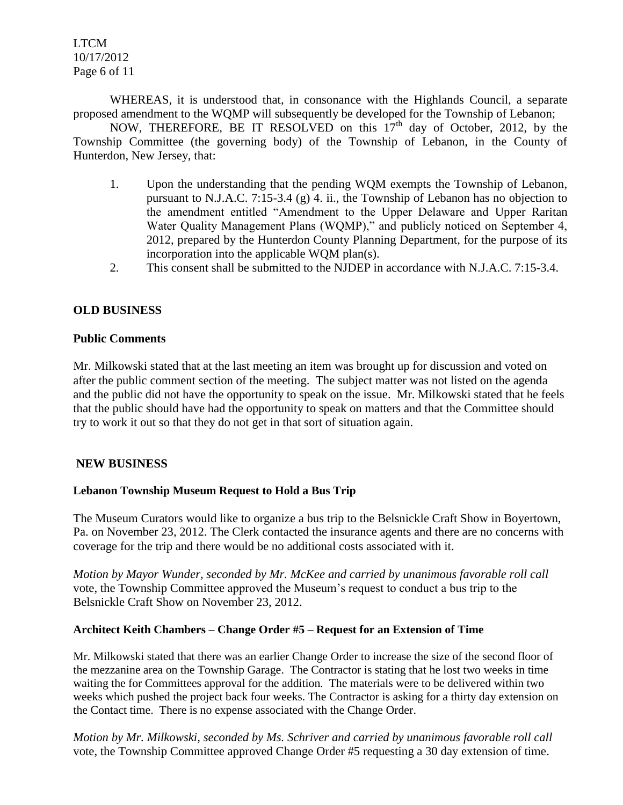LTCM 10/17/2012 Page 6 of 11

WHEREAS, it is understood that, in consonance with the Highlands Council, a separate proposed amendment to the WQMP will subsequently be developed for the Township of Lebanon;

NOW, THEREFORE, BE IT RESOLVED on this  $17<sup>th</sup>$  day of October, 2012, by the Township Committee (the governing body) of the Township of Lebanon, in the County of Hunterdon, New Jersey, that:

- 1. Upon the understanding that the pending WQM exempts the Township of Lebanon, pursuant to N.J.A.C. 7:15-3.4 (g) 4. ii., the Township of Lebanon has no objection to the amendment entitled "Amendment to the Upper Delaware and Upper Raritan Water Quality Management Plans (WQMP)," and publicly noticed on September 4, 2012, prepared by the Hunterdon County Planning Department, for the purpose of its incorporation into the applicable WQM plan(s).
- 2. This consent shall be submitted to the NJDEP in accordance with N.J.A.C. 7:15-3.4.

## **OLD BUSINESS**

#### **Public Comments**

Mr. Milkowski stated that at the last meeting an item was brought up for discussion and voted on after the public comment section of the meeting. The subject matter was not listed on the agenda and the public did not have the opportunity to speak on the issue. Mr. Milkowski stated that he feels that the public should have had the opportunity to speak on matters and that the Committee should try to work it out so that they do not get in that sort of situation again.

### **NEW BUSINESS**

### **Lebanon Township Museum Request to Hold a Bus Trip**

The Museum Curators would like to organize a bus trip to the Belsnickle Craft Show in Boyertown, Pa. on November 23, 2012. The Clerk contacted the insurance agents and there are no concerns with coverage for the trip and there would be no additional costs associated with it.

*Motion by Mayor Wunder, seconded by Mr. McKee and carried by unanimous favorable roll call*  vote, the Township Committee approved the Museum's request to conduct a bus trip to the Belsnickle Craft Show on November 23, 2012.

### **Architect Keith Chambers – Change Order #5 – Request for an Extension of Time**

Mr. Milkowski stated that there was an earlier Change Order to increase the size of the second floor of the mezzanine area on the Township Garage. The Contractor is stating that he lost two weeks in time waiting the for Committees approval for the addition. The materials were to be delivered within two weeks which pushed the project back four weeks. The Contractor is asking for a thirty day extension on the Contact time. There is no expense associated with the Change Order.

*Motion by Mr. Milkowski, seconded by Ms. Schriver and carried by unanimous favorable roll call*  vote, the Township Committee approved Change Order #5 requesting a 30 day extension of time.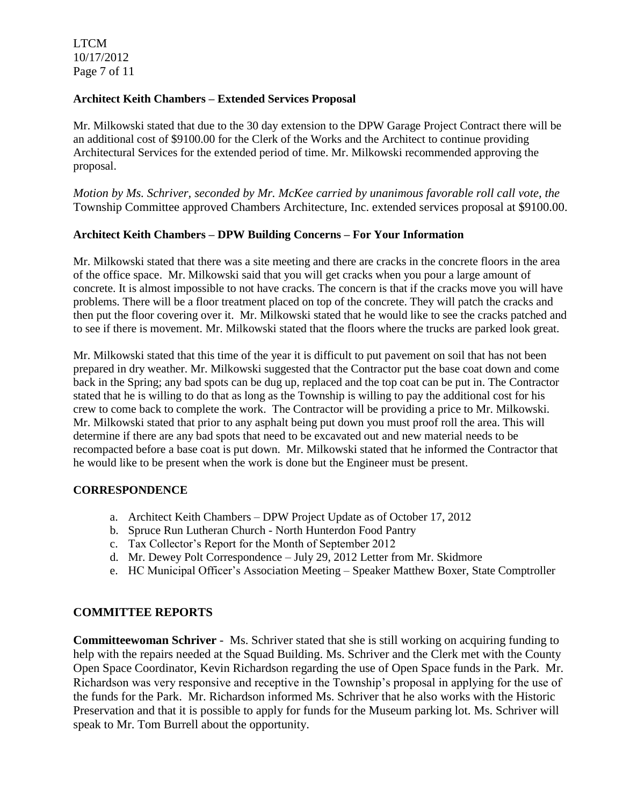LTCM 10/17/2012 Page 7 of 11

#### **Architect Keith Chambers – Extended Services Proposal**

Mr. Milkowski stated that due to the 30 day extension to the DPW Garage Project Contract there will be an additional cost of \$9100.00 for the Clerk of the Works and the Architect to continue providing Architectural Services for the extended period of time. Mr. Milkowski recommended approving the proposal.

*Motion by Ms. Schriver, seconded by Mr. McKee carried by unanimous favorable roll call vote, the* Township Committee approved Chambers Architecture, Inc. extended services proposal at \$9100.00.

#### **Architect Keith Chambers – DPW Building Concerns – For Your Information**

Mr. Milkowski stated that there was a site meeting and there are cracks in the concrete floors in the area of the office space. Mr. Milkowski said that you will get cracks when you pour a large amount of concrete. It is almost impossible to not have cracks. The concern is that if the cracks move you will have problems. There will be a floor treatment placed on top of the concrete. They will patch the cracks and then put the floor covering over it. Mr. Milkowski stated that he would like to see the cracks patched and to see if there is movement. Mr. Milkowski stated that the floors where the trucks are parked look great.

Mr. Milkowski stated that this time of the year it is difficult to put pavement on soil that has not been prepared in dry weather. Mr. Milkowski suggested that the Contractor put the base coat down and come back in the Spring; any bad spots can be dug up, replaced and the top coat can be put in. The Contractor stated that he is willing to do that as long as the Township is willing to pay the additional cost for his crew to come back to complete the work. The Contractor will be providing a price to Mr. Milkowski. Mr. Milkowski stated that prior to any asphalt being put down you must proof roll the area. This will determine if there are any bad spots that need to be excavated out and new material needs to be recompacted before a base coat is put down. Mr. Milkowski stated that he informed the Contractor that he would like to be present when the work is done but the Engineer must be present.

#### **CORRESPONDENCE**

- a. Architect Keith Chambers DPW Project Update as of October 17, 2012
- b. Spruce Run Lutheran Church North Hunterdon Food Pantry
- c. Tax Collector's Report for the Month of September 2012
- d. Mr. Dewey Polt Correspondence July 29, 2012 Letter from Mr. Skidmore
- e. HC Municipal Officer's Association Meeting Speaker Matthew Boxer, State Comptroller

### **COMMITTEE REPORTS**

**Committeewoman Schriver** - Ms. Schriver stated that she is still working on acquiring funding to help with the repairs needed at the Squad Building. Ms. Schriver and the Clerk met with the County Open Space Coordinator, Kevin Richardson regarding the use of Open Space funds in the Park. Mr. Richardson was very responsive and receptive in the Township's proposal in applying for the use of the funds for the Park. Mr. Richardson informed Ms. Schriver that he also works with the Historic Preservation and that it is possible to apply for funds for the Museum parking lot. Ms. Schriver will speak to Mr. Tom Burrell about the opportunity.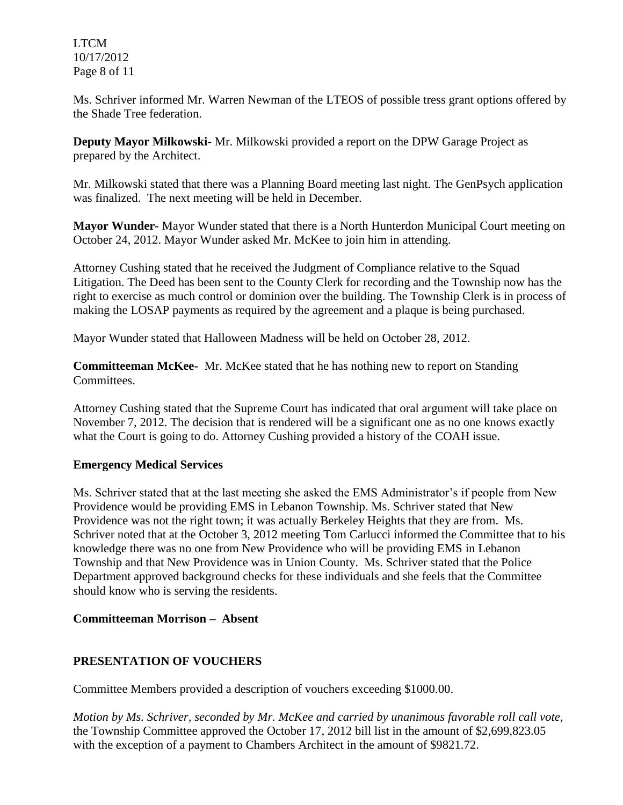LTCM 10/17/2012 Page 8 of 11

Ms. Schriver informed Mr. Warren Newman of the LTEOS of possible tress grant options offered by the Shade Tree federation.

**Deputy Mayor Milkowski-** Mr. Milkowski provided a report on the DPW Garage Project as prepared by the Architect.

Mr. Milkowski stated that there was a Planning Board meeting last night. The GenPsych application was finalized. The next meeting will be held in December.

**Mayor Wunder-** Mayor Wunder stated that there is a North Hunterdon Municipal Court meeting on October 24, 2012. Mayor Wunder asked Mr. McKee to join him in attending.

Attorney Cushing stated that he received the Judgment of Compliance relative to the Squad Litigation. The Deed has been sent to the County Clerk for recording and the Township now has the right to exercise as much control or dominion over the building. The Township Clerk is in process of making the LOSAP payments as required by the agreement and a plaque is being purchased.

Mayor Wunder stated that Halloween Madness will be held on October 28, 2012.

**Committeeman McKee-** Mr. McKee stated that he has nothing new to report on Standing Committees.

Attorney Cushing stated that the Supreme Court has indicated that oral argument will take place on November 7, 2012. The decision that is rendered will be a significant one as no one knows exactly what the Court is going to do. Attorney Cushing provided a history of the COAH issue.

## **Emergency Medical Services**

Ms. Schriver stated that at the last meeting she asked the EMS Administrator's if people from New Providence would be providing EMS in Lebanon Township. Ms. Schriver stated that New Providence was not the right town; it was actually Berkeley Heights that they are from. Ms. Schriver noted that at the October 3, 2012 meeting Tom Carlucci informed the Committee that to his knowledge there was no one from New Providence who will be providing EMS in Lebanon Township and that New Providence was in Union County. Ms. Schriver stated that the Police Department approved background checks for these individuals and she feels that the Committee should know who is serving the residents.

## **Committeeman Morrison – Absent**

## **PRESENTATION OF VOUCHERS**

Committee Members provided a description of vouchers exceeding \$1000.00.

*Motion by Ms. Schriver, seconded by Mr. McKee and carried by unanimous favorable roll call vote,* the Township Committee approved the October 17, 2012 bill list in the amount of \$2,699,823.05 with the exception of a payment to Chambers Architect in the amount of \$9821.72.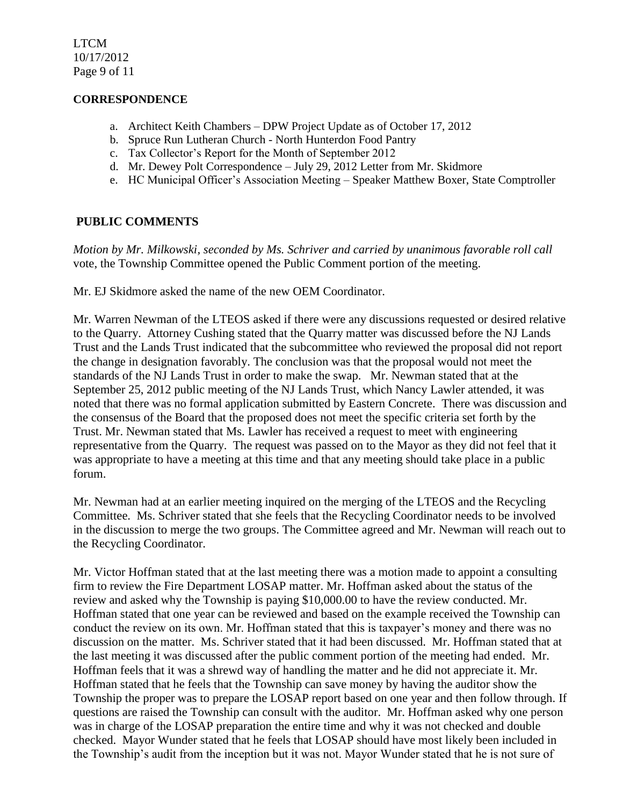LTCM 10/17/2012 Page 9 of 11

#### **CORRESPONDENCE**

- a. Architect Keith Chambers DPW Project Update as of October 17, 2012
- b. Spruce Run Lutheran Church North Hunterdon Food Pantry
- c. Tax Collector's Report for the Month of September 2012
- d. Mr. Dewey Polt Correspondence July 29, 2012 Letter from Mr. Skidmore
- e. HC Municipal Officer's Association Meeting Speaker Matthew Boxer, State Comptroller

## **PUBLIC COMMENTS**

*Motion by Mr. Milkowski, seconded by Ms. Schriver and carried by unanimous favorable roll call*  vote, the Township Committee opened the Public Comment portion of the meeting.

Mr. EJ Skidmore asked the name of the new OEM Coordinator.

Mr. Warren Newman of the LTEOS asked if there were any discussions requested or desired relative to the Quarry. Attorney Cushing stated that the Quarry matter was discussed before the NJ Lands Trust and the Lands Trust indicated that the subcommittee who reviewed the proposal did not report the change in designation favorably. The conclusion was that the proposal would not meet the standards of the NJ Lands Trust in order to make the swap. Mr. Newman stated that at the September 25, 2012 public meeting of the NJ Lands Trust, which Nancy Lawler attended, it was noted that there was no formal application submitted by Eastern Concrete. There was discussion and the consensus of the Board that the proposed does not meet the specific criteria set forth by the Trust. Mr. Newman stated that Ms. Lawler has received a request to meet with engineering representative from the Quarry. The request was passed on to the Mayor as they did not feel that it was appropriate to have a meeting at this time and that any meeting should take place in a public forum.

Mr. Newman had at an earlier meeting inquired on the merging of the LTEOS and the Recycling Committee. Ms. Schriver stated that she feels that the Recycling Coordinator needs to be involved in the discussion to merge the two groups. The Committee agreed and Mr. Newman will reach out to the Recycling Coordinator.

Mr. Victor Hoffman stated that at the last meeting there was a motion made to appoint a consulting firm to review the Fire Department LOSAP matter. Mr. Hoffman asked about the status of the review and asked why the Township is paying \$10,000.00 to have the review conducted. Mr. Hoffman stated that one year can be reviewed and based on the example received the Township can conduct the review on its own. Mr. Hoffman stated that this is taxpayer's money and there was no discussion on the matter. Ms. Schriver stated that it had been discussed. Mr. Hoffman stated that at the last meeting it was discussed after the public comment portion of the meeting had ended. Mr. Hoffman feels that it was a shrewd way of handling the matter and he did not appreciate it. Mr. Hoffman stated that he feels that the Township can save money by having the auditor show the Township the proper was to prepare the LOSAP report based on one year and then follow through. If questions are raised the Township can consult with the auditor. Mr. Hoffman asked why one person was in charge of the LOSAP preparation the entire time and why it was not checked and double checked. Mayor Wunder stated that he feels that LOSAP should have most likely been included in the Township's audit from the inception but it was not. Mayor Wunder stated that he is not sure of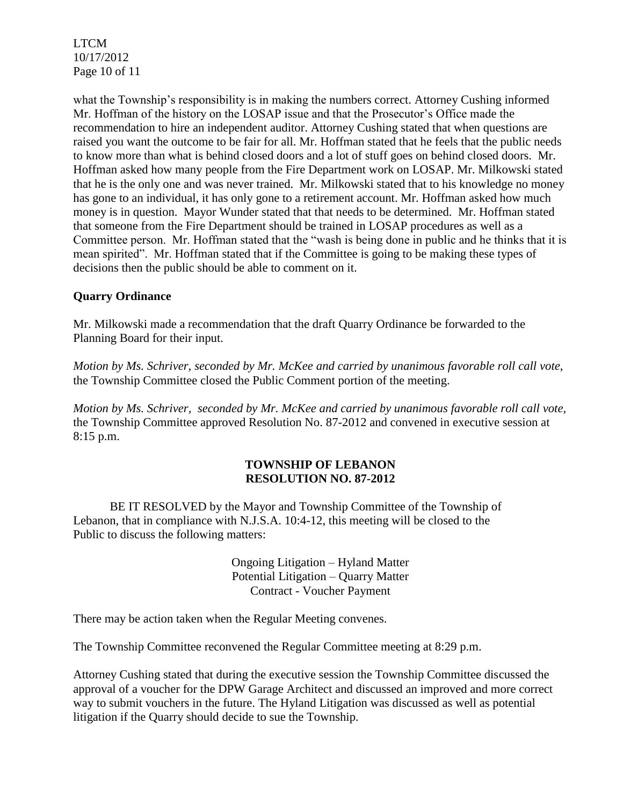LTCM 10/17/2012 Page 10 of 11

what the Township's responsibility is in making the numbers correct. Attorney Cushing informed Mr. Hoffman of the history on the LOSAP issue and that the Prosecutor's Office made the recommendation to hire an independent auditor. Attorney Cushing stated that when questions are raised you want the outcome to be fair for all. Mr. Hoffman stated that he feels that the public needs to know more than what is behind closed doors and a lot of stuff goes on behind closed doors. Mr. Hoffman asked how many people from the Fire Department work on LOSAP. Mr. Milkowski stated that he is the only one and was never trained. Mr. Milkowski stated that to his knowledge no money has gone to an individual, it has only gone to a retirement account. Mr. Hoffman asked how much money is in question. Mayor Wunder stated that that needs to be determined. Mr. Hoffman stated that someone from the Fire Department should be trained in LOSAP procedures as well as a Committee person. Mr. Hoffman stated that the "wash is being done in public and he thinks that it is mean spirited". Mr. Hoffman stated that if the Committee is going to be making these types of decisions then the public should be able to comment on it.

# **Quarry Ordinance**

Mr. Milkowski made a recommendation that the draft Quarry Ordinance be forwarded to the Planning Board for their input.

*Motion by Ms. Schriver, seconded by Mr. McKee and carried by unanimous favorable roll call vote*, the Township Committee closed the Public Comment portion of the meeting.

*Motion by Ms. Schriver, seconded by Mr. McKee and carried by unanimous favorable roll call vote,* the Township Committee approved Resolution No. 87-2012 and convened in executive session at 8:15 p.m.

## **TOWNSHIP OF LEBANON RESOLUTION NO. 87-2012**

BE IT RESOLVED by the Mayor and Township Committee of the Township of Lebanon, that in compliance with N.J.S.A. 10:4-12, this meeting will be closed to the Public to discuss the following matters:

> Ongoing Litigation – Hyland Matter Potential Litigation – Quarry Matter Contract - Voucher Payment

There may be action taken when the Regular Meeting convenes.

The Township Committee reconvened the Regular Committee meeting at 8:29 p.m.

Attorney Cushing stated that during the executive session the Township Committee discussed the approval of a voucher for the DPW Garage Architect and discussed an improved and more correct way to submit vouchers in the future. The Hyland Litigation was discussed as well as potential litigation if the Quarry should decide to sue the Township.